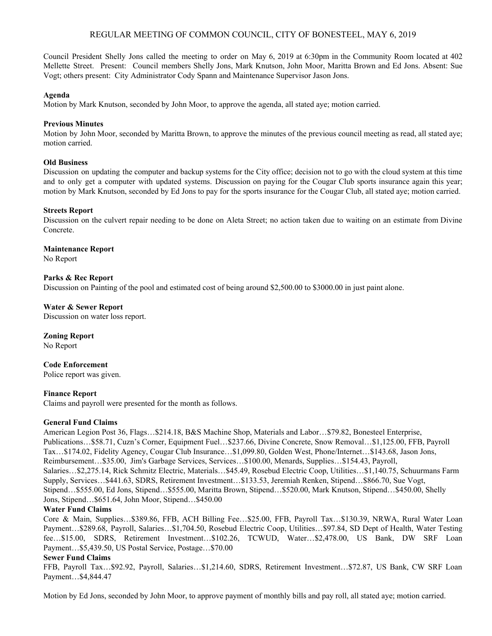# REGULAR MEETING OF COMMON COUNCIL, CITY OF BONESTEEL, MAY 6, 2019

Council President Shelly Jons called the meeting to order on May 6, 2019 at 6:30pm in the Community Room located at 402 Mellette Street. Present: Council members Shelly Jons, Mark Knutson, John Moor, Maritta Brown and Ed Jons. Absent: Sue Vogt; others present: City Administrator Cody Spann and Maintenance Supervisor Jason Jons.

#### **Agenda**

Motion by Mark Knutson, seconded by John Moor, to approve the agenda, all stated aye; motion carried.

### **Previous Minutes**

Motion by John Moor, seconded by Maritta Brown, to approve the minutes of the previous council meeting as read, all stated aye; motion carried.

### **Old Business**

Discussion on updating the computer and backup systems for the City office; decision not to go with the cloud system at this time and to only get a computer with updated systems. Discussion on paying for the Cougar Club sports insurance again this year; motion by Mark Knutson, seconded by Ed Jons to pay for the sports insurance for the Cougar Club, all stated aye; motion carried.

### **Streets Report**

Discussion on the culvert repair needing to be done on Aleta Street; no action taken due to waiting on an estimate from Divine Concrete.

### **Maintenance Report**

No Report

## **Parks & Rec Report**

Discussion on Painting of the pool and estimated cost of being around \$2,500.00 to \$3000.00 in just paint alone.

### **Water & Sewer Report**

Discussion on water loss report.

## **Zoning Report**

No Report

**Code Enforcement** Police report was given.

# **Finance Report**

Claims and payroll were presented for the month as follows.

## **General Fund Claims**

American Legion Post 36, Flags…\$214.18, B&S Machine Shop, Materials and Labor…\$79.82, Bonesteel Enterprise, Publications…\$58.71, Cuzn's Corner, Equipment Fuel…\$237.66, Divine Concrete, Snow Removal…\$1,125.00, FFB, Payroll Tax…\$174.02, Fidelity Agency, Cougar Club Insurance…\$1,099.80, Golden West, Phone/Internet…\$143.68, Jason Jons, Reimbursement…\$35.00, Jim's Garbage Services, Services…\$100.00, Menards, Supplies…\$154.43, Payroll, Salaries…\$2,275.14, Rick Schmitz Electric, Materials…\$45.49, Rosebud Electric Coop, Utilities…\$1,140.75, Schuurmans Farm Supply, Services…\$441.63, SDRS, Retirement Investment…\$133.53, Jeremiah Renken, Stipend…\$866.70, Sue Vogt, Stipend…\$555.00, Ed Jons, Stipend…\$555.00, Maritta Brown, Stipend…\$520.00, Mark Knutson, Stipend…\$450.00, Shelly Jons, Stipend…\$651.64, John Moor, Stipend…\$450.00

## **Water Fund Claims**

Core & Main, Supplies…\$389.86, FFB, ACH Billing Fee…\$25.00, FFB, Payroll Tax…\$130.39, NRWA, Rural Water Loan Payment…\$289.68, Payroll, Salaries…\$1,704.50, Rosebud Electric Coop, Utilities…\$97.84, SD Dept of Health, Water Testing fee…\$15.00, SDRS, Retirement Investment…\$102.26, TCWUD, Water…\$2,478.00, US Bank, DW SRF Loan Payment…\$5,439.50, US Postal Service, Postage…\$70.00

## **Sewer Fund Claims**

FFB, Payroll Tax…\$92.92, Payroll, Salaries…\$1,214.60, SDRS, Retirement Investment…\$72.87, US Bank, CW SRF Loan Payment…\$4,844.47

Motion by Ed Jons, seconded by John Moor, to approve payment of monthly bills and pay roll, all stated aye; motion carried.